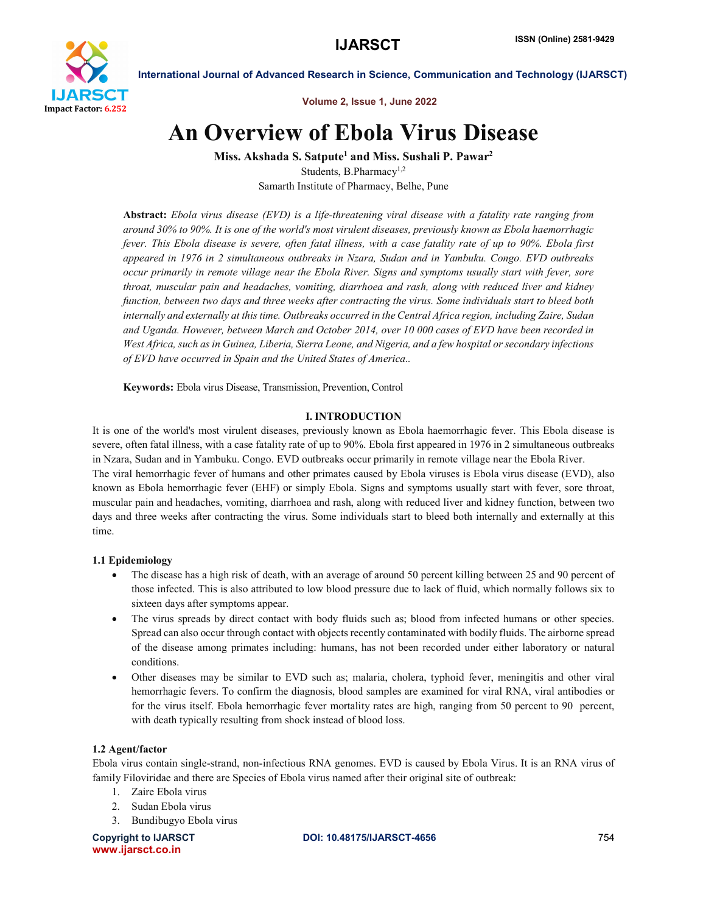

Volume 2, Issue 1, June 2022

# An Overview of Ebola Virus Disease

Miss. Akshada S. Satpute<sup>1</sup> and Miss. Sushali P. Pawar<sup>2</sup> Students, B.Pharmacy<sup>1,2</sup> Samarth Institute of Pharmacy, Belhe, Pune

Abstract: *Ebola virus disease (EVD) is a life-threatening viral disease with a fatality rate ranging from around 30% to 90%. It is one of the world's most virulent diseases, previously known as Ebola haemorrhagic fever. This Ebola disease is severe, often fatal illness, with a case fatality rate of up to 90%. Ebola first appeared in 1976 in 2 simultaneous outbreaks in Nzara, Sudan and in Yambuku. Congo. EVD outbreaks occur primarily in remote village near the Ebola River. Signs and symptoms usually start with fever, sore throat, muscular pain and headaches, vomiting, diarrhoea and rash, along with reduced liver and kidney function, between two days and three weeks after contracting the virus. Some individuals start to bleed both internally and externally at this time. Outbreaks occurred in the Central Africa region, including Zaire, Sudan and Uganda. However, between March and October 2014, over 10 000 cases of EVD have been recorded in West Africa, such as in Guinea, Liberia, Sierra Leone, and Nigeria, and a few hospital or secondary infections of EVD have occurred in Spain and the United States of America..*

Keywords: Ebola virus Disease, Transmission, Prevention, Control

## I. INTRODUCTION

It is one of the world's most virulent diseases, previously known as Ebola haemorrhagic fever. This Ebola disease is severe, often fatal illness, with a case fatality rate of up to 90%. Ebola first appeared in 1976 in 2 simultaneous outbreaks in Nzara, Sudan and in Yambuku. Congo. EVD outbreaks occur primarily in remote village near the Ebola River. The viral hemorrhagic fever of humans and other primates caused by Ebola viruses is Ebola virus disease (EVD), also known as Ebola hemorrhagic fever (EHF) or simply Ebola. Signs and symptoms usually start with fever, sore throat, muscular pain and headaches, vomiting, diarrhoea and rash, along with reduced liver and kidney function, between two days and three weeks after contracting the virus. Some individuals start to bleed both internally and externally at this time.

## 1.1 Epidemiology

- The disease has a high risk of death, with an average of around 50 percent killing between 25 and 90 percent of those infected. This is also attributed to low blood pressure due to lack of fluid, which normally follows six to sixteen days after symptoms appear.
- The virus spreads by direct contact with body fluids such as; blood from infected humans or other species. Spread can also occur through contact with objects recently contaminated with bodily fluids. The airborne spread of the disease among primates including: humans, has not been recorded under either laboratory or natural conditions.
- Other diseases may be similar to EVD such as; malaria, cholera, typhoid fever, meningitis and other viral hemorrhagic fevers. To confirm the diagnosis, blood samples are examined for viral RNA, viral antibodies or for the virus itself. Ebola hemorrhagic fever mortality rates are high, ranging from 50 percent to 90 percent, with death typically resulting from shock instead of blood loss.

## 1.2 Agent/factor

Ebola virus contain single-strand, non-infectious RNA genomes. EVD is caused by Ebola Virus. It is an RNA virus of family Filoviridae and there are Species of Ebola virus named after their original site of outbreak:

- 1. Zaire Ebola virus
- 2. Sudan Ebola virus
- 3. Bundibugyo Ebola virus

www.ijarsct.co.in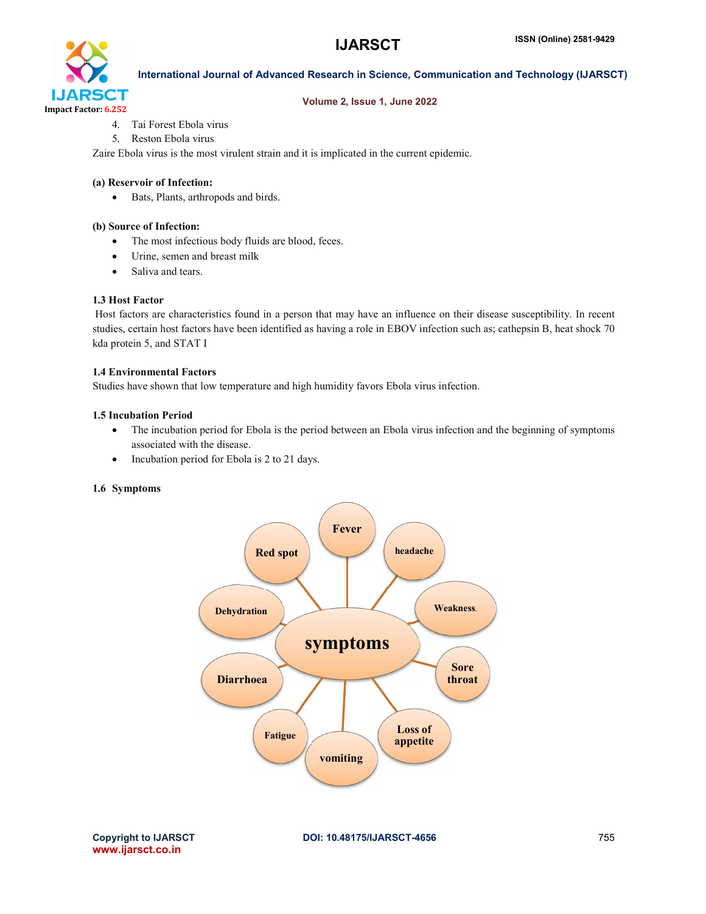

#### Volume 2, Issue 1, June 2022

- 4. Tai Forest Ebola virus
- 5. Reston Ebola virus

Zaire Ebola virus is the most virulent strain and it is implicated in the current epidemic.

#### (a) Reservoir of Infection:

Bats, Plants, arthropods and birds.

#### (b) Source of Infection:

- The most infectious body fluids are blood, feces.
- Urine, semen and breast milk
- Saliva and tears.

#### 1.3 Host Factor

Host factors are characteristics found in a person that may have an influence on their disease susceptibility. In recent studies, certain host factors have been identified as having a role in EBOV infection such as; cathepsin B, heat shock 70 kda protein 5, and STAT I

#### 1.4 Environmental Factors

Studies have shown that low temperature and high humidity favors Ebola virus infection.

#### 1.5 Incubation Period

- The incubation period for Ebola is the period between an Ebola virus infection and the beginning of symptoms associated with the disease.
- Incubation period for Ebola is 2 to 21 days.

#### 1.6 Symptoms

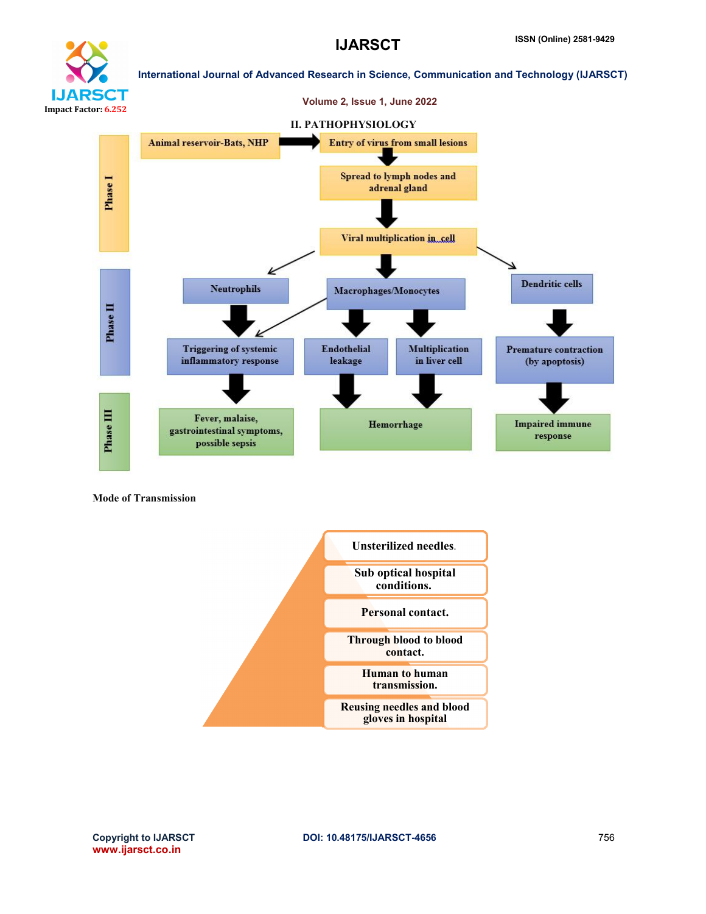

# **IJARSCT** Impact Factor: 6.252

International Journal of Advanced Research in Science, Communication and Technology (IJARSCT)



Mode of Transmission



www.ijarsct.co.in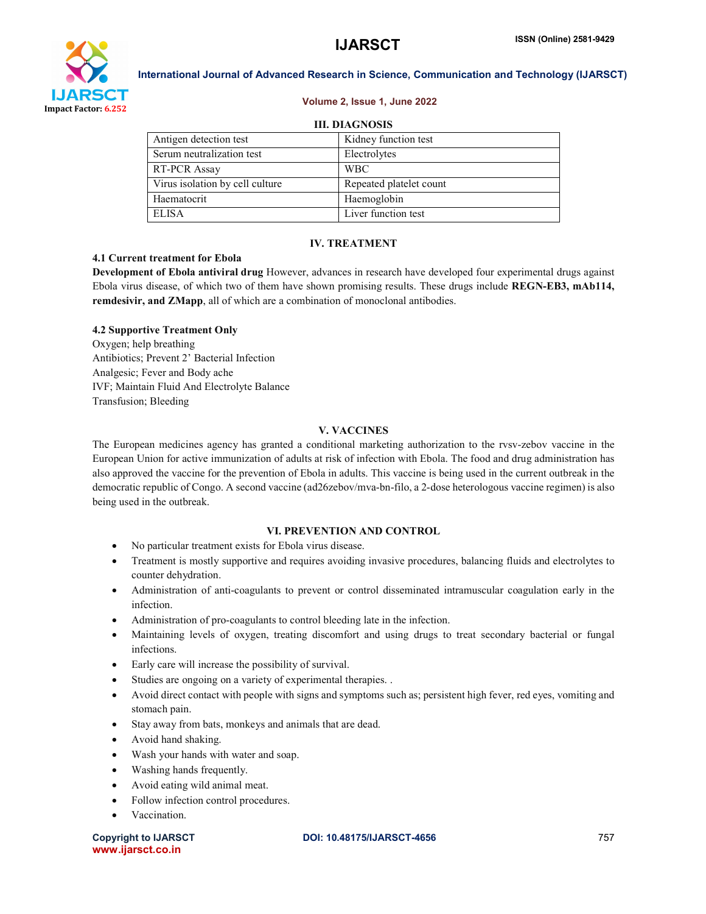



#### Volume 2, Issue 1, June 2022

| <b>III. DIAGNOSIS</b> |  |
|-----------------------|--|

| Antigen detection test          | Kidney function test    |  |
|---------------------------------|-------------------------|--|
| Serum neutralization test       | Electrolytes            |  |
| RT-PCR Assay                    | <b>WBC</b>              |  |
| Virus isolation by cell culture | Repeated platelet count |  |
| Haematocrit                     | Haemoglobin             |  |
| ELISA                           | Liver function test     |  |

#### IV. TREATMENT

#### 4.1 Current treatment for Ebola

Development of Ebola antiviral drug However, advances in research have developed four experimental drugs against Ebola virus disease, of which two of them have shown promising results. These drugs include REGN-EB3, mAb114, remdesivir, and ZMapp, all of which are a combination of monoclonal antibodies.

#### 4.2 Supportive Treatment Only

Oxygen; help breathing Antibiotics; Prevent 2' Bacterial Infection Analgesic; Fever and Body ache IVF; Maintain Fluid And Electrolyte Balance Transfusion; Bleeding

#### V. VACCINES

The European medicines agency has granted a conditional marketing authorization to the rvsv-zebov vaccine in the European Union for active immunization of adults at risk of infection with Ebola. The food and drug administration has also approved the vaccine for the prevention of Ebola in adults. This vaccine is being used in the current outbreak in the democratic republic of Congo. A second vaccine (ad26zebov/mva-bn-filo, a 2-dose heterologous vaccine regimen) is also being used in the outbreak.

#### VI. PREVENTION AND CONTROL

- No particular treatment exists for Ebola virus disease.
- Treatment is mostly supportive and requires avoiding invasive procedures, balancing fluids and electrolytes to counter dehydration.
- Administration of anti-coagulants to prevent or control disseminated intramuscular coagulation early in the infection.
- Administration of pro-coagulants to control bleeding late in the infection.
- Maintaining levels of oxygen, treating discomfort and using drugs to treat secondary bacterial or fungal infections.
- Early care will increase the possibility of survival.
- Studies are ongoing on a variety of experimental therapies. .
- Avoid direct contact with people with signs and symptoms such as; persistent high fever, red eyes, vomiting and stomach pain.
- Stay away from bats, monkeys and animals that are dead.
- Avoid hand shaking.
- Wash your hands with water and soap.
- Washing hands frequently.
- Avoid eating wild animal meat.
- Follow infection control procedures.
- Vaccination.